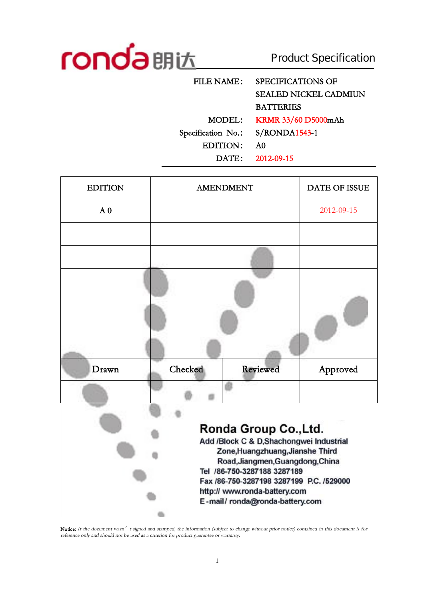

Product Specification

| <b>FILE NAME:</b>  | <b>SPECIFICATIONS OF</b>     |
|--------------------|------------------------------|
|                    | <b>SEALED NICKEL CADMIUN</b> |
|                    | <b>BATTERIES</b>             |
| MODEL:             | KRMR 33/60 D5000mAh          |
| Specification No.: | $S/RONDA1543-1$              |
| EDITION:           | A0                           |
| DATE:              | 2012-09-15                   |
|                    |                              |

| <b>EDITION</b> |         | <b>AMENDMENT</b>                                                                                                                                                                                                                                                                        | <b>DATE OF ISSUE</b> |
|----------------|---------|-----------------------------------------------------------------------------------------------------------------------------------------------------------------------------------------------------------------------------------------------------------------------------------------|----------------------|
| A <sub>0</sub> |         |                                                                                                                                                                                                                                                                                         | 2012-09-15           |
|                |         |                                                                                                                                                                                                                                                                                         |                      |
|                |         |                                                                                                                                                                                                                                                                                         |                      |
|                |         |                                                                                                                                                                                                                                                                                         |                      |
| Drawn          | Checked | <b>Reviewed</b>                                                                                                                                                                                                                                                                         | Approved             |
|                |         |                                                                                                                                                                                                                                                                                         |                      |
|                |         | Ronda Group Co., Ltd.<br>Add /Block C & D, Shachongwei Industrial<br>Zone, Huangzhuang, Jianshe Third<br>Road, Jiangmen, Guangdong, China<br>Tel /86-750-3287188 3287189<br>Fax /86-750-3287198 3287199 P.C. /529000<br>http:// www.ronda-battery.com<br>E-mail/ronda@ronda-battery.com |                      |

Notice: If the document wasn't signed and stamped, the information (subject to change without prior notice) contained in this document is for *reference only and should not be used as <sup>a</sup> criterion for product guarantee or warranty.*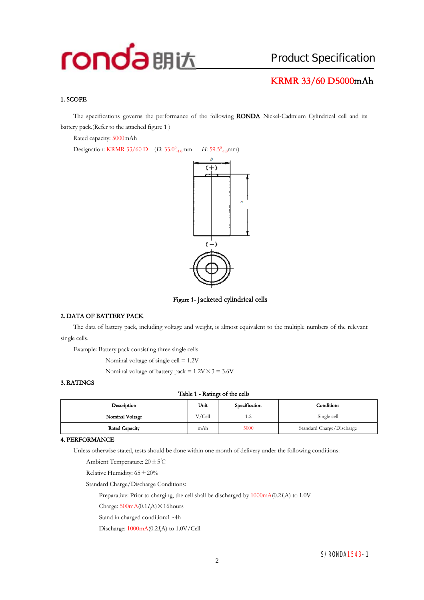# **KRMR 33/60 D5000mAh**

## **1. SCOPE**

The specifications governs the performance of the following **RONDA** Nickel-Cadmium Cylindrical cell and its battery pack.(Refer to the attached figure 1 )

Rated capacity: 5000mAh

Designation: KRMR 33/60 D (*D*: 33.0<sup>0</sup><sub>-1.0</sub>mm *H*: 59.5<sup>0</sup><sub>-1.0</sub>mm)



**Figure 1- Jacketed cylindrical cells** 

#### **2. DATA OF BATTERY PACK**

The data of battery pack, including voltage and weight, is almost equivalent to the multiple numbers of the relevant single cells.

Example: Battery pack consisting three single cells

Nominal voltage of single cell = 1.2V

Nominal voltage of battery pack =  $1.2V \times 3 = 3.6V$ 

### **3. RATINGS**

#### **Table 1 - Ratings of the cells**

| Description     | Unit   | Specification | Conditions                |
|-----------------|--------|---------------|---------------------------|
| Nominal Voltage | V/Cell | 1.2           | Single cell               |
| Rated Capacity  | mAh    | 5000          | Standard Charge/Discharge |

### **4. PERFORMANCE**

Unless otherwise stated, tests should be done within one month of delivery under the following conditions:

Ambient Temperature: 20±5℃

Relative Humidity:  $65 \pm 20\%$ 

Standard Charge/Discharge Conditions:

Preparative: Prior to charging, the cell shall be discharged by 1000mA(0.2*<sup>I</sup>t*A) to 1.0V

Charge:  $500mA(0.1I) \times 16$ hours

Stand in charged condition:1~4h

Discharge: 1000mA(0.2*<sup>I</sup>t*A) to 1.0V/Cell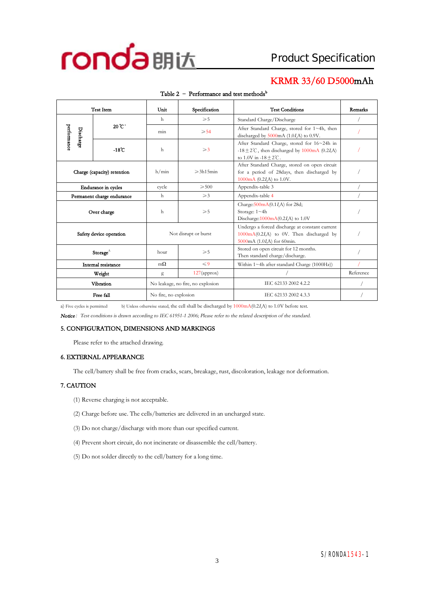

## **KRMR 33/60 D5000mAh**

| <b>Test Item</b>           |                             | Unit                              | Specification       | <b>Test Conditions</b>                                                                                                                | Remarks   |
|----------------------------|-----------------------------|-----------------------------------|---------------------|---------------------------------------------------------------------------------------------------------------------------------------|-----------|
|                            |                             | h                                 | $\geqslant 5$       | Standard Charge/Discharge                                                                                                             |           |
| performance<br>Discharge   | $20^{\circ}C^{a}$           | $\geqslant$ 54<br>min             |                     | After Standard Charge, stored for 1~4h, then<br>discharged by 5000mA (1.0IA) to 0.9V.                                                 |           |
|                            | $-18^\circ$ C               | $\mathbf{h}$                      | $\geqslant$ 3       | After Standard Charge, stored for 16~24h in<br>-18 $\pm$ 2°C, then discharged by 1000mA (0.2I,A)<br>to 1.0V in $-18 \pm 2^{\circ}$ C. |           |
|                            | Charge (capacity) retention | h/min                             | $\geqslant$ 3h15min | After Standard Charge, stored on open circuit<br>for a period of 28days, then discharged by<br>1000mA $(0.2IrA)$ to 1.0V.             |           |
| Endurance in cycles        |                             | cycle                             | $\geqslant 500$     | Appendix-table 3                                                                                                                      |           |
| Permanent charge endurance |                             | h                                 | $\geqslant$ 3       | Appendix-table 4                                                                                                                      |           |
| Over charge                |                             | h                                 | $\geqslant 5$       | Charge: $500mA(0.1I,A)$ for 28d;<br>Storage: 1~4h<br>Discharge: $1000 \text{mA}(0.2I, A)$ to 1.0V                                     |           |
| Safety device operation    |                             | Not disrupt or burst              |                     | Undergo a forced discharge at constant current<br>$1000 \text{mA}(0.2I, A)$ to 0V. Then discharged by<br>5000mA (1.0I,A) for 60min.   |           |
|                            | Storage $^{\wedge}$         | hour                              | $\geqslant 5$       | Stored on open circuit for 12 months.<br>Then standard charge/discharge.                                                              |           |
| Internal resistance        |                             | $m\Omega$                         | $\leqslant$ 9       | Within $1 \sim 4h$ after standard Charge (1000Hz))                                                                                    |           |
|                            | Weight                      | g                                 | $127$ (approx)      |                                                                                                                                       | Reference |
|                            | Vibration                   | No leakage, no fire, no explosion |                     | IEC 62133 2002 4.2.2                                                                                                                  |           |
| Free fall                  |                             | No fire, no explosion             |                     | IEC 62133 2002 4.3.3                                                                                                                  |           |

#### **Table 2 – Performance and test methods<sup>b</sup>**

a) Five cycles is permitted b) Unless otherwise stated, the cell shall be discharged by 1000mA(0.2*<sup>I</sup>t*A) to 1.0V before test.

*Notice:Test conditions is drawn according to IEC 61951-1 2006; Please refer to the related description of the standard.* 

#### **5. CONFIGURATION, DIMENSIONS AND MARKINGS**

Please refer to the attached drawing.

## **6. EXTERNAL APPEARANCE**

The cell/battery shall be free from cracks, scars, breakage, rust, discoloration, leakage nor deformation.

## **7. CAUTION**

- (1) Reverse charging is not acceptable.
- (2) Charge before use. The cells/batteries are delivered in an uncharged state.
- (3) Do not charge/discharge with more than our specified current.
- (4) Prevent short circuit, do not incinerate or disassemble the cell/battery.
- (5) Do not solder directly to the cell/battery for a long time.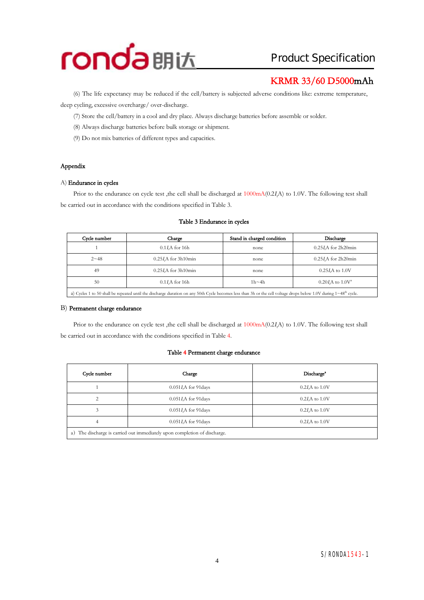

# **KRMR 33/60 D5000mAh**

(6) The life expectancy may be reduced if the cell/battery is subjected adverse conditionslike: extreme temperature, deep cycling, excessive overcharge/ over-discharge.

(7) Store the cell/battery in a cool and dry place. Always discharge batteries before assemble or solder.

- (8) Always discharge batteries before bulk storage or shipment.
- (9) Do not mix batteries of different types and capacities.

## **Appendix**

### A) **Endurance in cycles**

Prior to the endurance on cycle test , the cell shall be discharged at  $1000 \text{mA} (0.2 I A)$  to 1.0V. The following test shall be carried out in accordance with the conditions specified in Table 3.

## **Cycle number Charge Stand in charged condition Discharge**  1 0.1*I*<sub>*A*</sub> for 16h none 0.25*I*<sub>*A*</sub> for 2h20min 2~48 0.25*<sup>I</sup>t*A for 3h10min none 0.25*<sup>I</sup>t*A for 2h20min 49 0.25*I*A for 3h10min none 0.25*I*A to 1.0V 50 0.1*I<sub>A</sub>* for 16h 1h~4h 0.20*I<sub>A</sub>* to 1.0V<sup>a</sup> a) Cycles 1 to 50 shall be repeated until the discharge duration on any 50th Cycle becomes less than 3h or the cell voltage drops below 1.0V during  $1~48<sup>th</sup>$  cycle.

### **Table 3 Endurance in cycles**

## B) **Permanent charge endurance**

Prior to the endurance on cycle test ,the cell shall be discharged at  $1000mA(0.2I)$  to 1.0V. The following test shall be carried out in accordance with the conditions specified in Table 4.

#### **Table 4 Permanent charge endurance**

| Cycle number                                                                 | Charge                   | Discharge <sup>*</sup> |  |  |  |
|------------------------------------------------------------------------------|--------------------------|------------------------|--|--|--|
|                                                                              | $0.051I$ , A for 91 days | $0.2I$ A to $1.0V$     |  |  |  |
|                                                                              | $0.051I$ , A for 91 days | $0.2I$ A to $1.0V$     |  |  |  |
|                                                                              | $0.051I$ , A for 91 days | $0.2I$ , A to $1.0V$   |  |  |  |
| 4                                                                            | $0.051I$ , A for 91 days | $0.2I$ , A to $1.0V$   |  |  |  |
| The discharge is carried out immediately upon completion of discharge.<br>a) |                          |                        |  |  |  |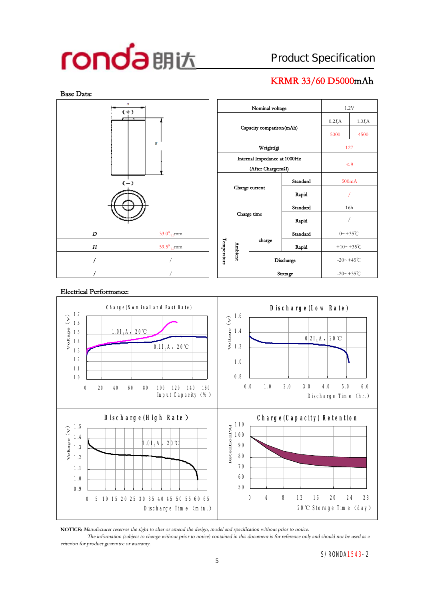# **KRMR 33/60 D5000mAh**



| n<br>$(+)$ |                                |  |                   |                              | Nominal voltage          |           |                      | 1.2V      |  |
|------------|--------------------------------|--|-------------------|------------------------------|--------------------------|-----------|----------------------|-----------|--|
| ┯          |                                |  |                   |                              |                          |           | $0.2I_tA$            | $1.0I_tA$ |  |
|            |                                |  |                   |                              | Capacity comparison(mAh) |           | 5000                 | 4500      |  |
|            | p                              |  |                   |                              | Weight(g)                |           | 127                  |           |  |
|            |                                |  |                   | Internal Impedance at 1000Hz | $\leq 9$                 |           |                      |           |  |
|            |                                |  | (After Charge;mΩ) |                              |                          |           |                      |           |  |
|            | $(-)$                          |  |                   |                              |                          | Standard  | 500mA                |           |  |
|            |                                |  | Charge current    |                              |                          | Rapid     |                      |           |  |
|            |                                |  |                   |                              |                          | Standard  | 16h                  |           |  |
|            |                                |  | Charge time       |                              |                          | Rapid     |                      |           |  |
| D          | $33.0^0$ <sub>-1.0</sub> mm    |  |                   |                              |                          | Standard  | $0 - +35^{\circ}C$   |           |  |
| H          | 59.5 $^{0}$ <sub>-1.0</sub> mm |  | Temperature       |                              | charge                   | Rapid     | +10~+35 $°C$         |           |  |
|            |                                |  | Ambient           |                              |                          | Discharge | $-20 - +45^{\circ}C$ |           |  |
| Ī          |                                |  |                   |                              |                          | Storage   | $-20 - +35$ °C       |           |  |

## **Electrical Performance:**



**NOTICE:** *Manufacturer reserves the right to alter or amend the design, model and specification without prior to notice.*

The information (subject to change without prior to notice) contained in this document is for reference only and should not be used as a *criterion for product guarantee or warranty.*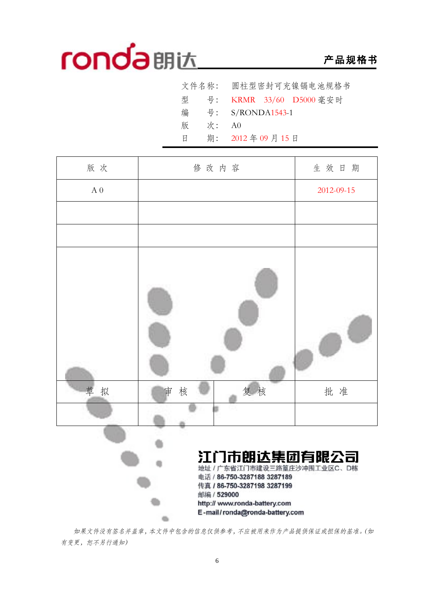# **产品规格书**

|    | 文件名称: 圆柱型密封可充镍镉电池规格书      |
|----|---------------------------|
|    | 型 号: KRMR 33/60 D5000 毫安时 |
|    | 号: S/RONDA1543-1          |
| 次: | A0                        |
|    | 期: 2012年09月15日            |
|    |                           |



*如果文件没有签名并盖章,本文件中包含的信息仅供参考,不应被用来作为产品提供保证或担保的基准。(如 有变更,恕不另行通知)*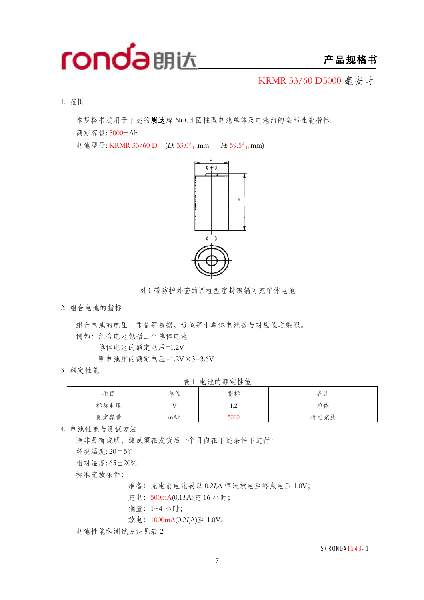

## **产品规格书**

KRMR 33/60 D5000 毫安时

1. 范围

本规格书适用于下述的**朗达**牌 Ni-Cd 圆柱型电池单体及电池组的全部性能指标.

额定容量: 5000mAh

电池型号: KRMR 33/60 D (D: 33.0<sup>0</sup><sub>-1.0</sub>mm H: 59.5<sup>0</sup><sub>-1.0</sub>mm)



图 1 带防护外套的圆柱型密封镍镉可充单体电池

2. 组合电池的指标

组合电池的电压、重量等数据,近似等于单体电池数与对应值之乘积。

例如:组合电池包括三个单体电池

单体电池的额定电压=1.2V

则电池组的额定电压=1.2V×3=3.6V

3. 额定性能

表 1 电池的额定性能

|      |     | _    |      |
|------|-----|------|------|
| 项目   | 单位  | 指标   | 备注   |
| 标称电压 |     | 1.Z  | 单体   |
| 额定容量 | mAh | 5000 | 标准充放 |

4. 电池性能与测试方法

除非另有说明,测试须在发货后一个月内在下述条件下进行: 环境温度: 20±5℃ 相对湿度: 65±20% 标准充放条件: 准备:充电前电池要以 0.2*<sup>I</sup>t*A 恒流放电至终点电压 1.0V;

充电:500mA(0.1*<sup>I</sup>t*A)充 16 小时;

搁置:1~4 小时;

放电:  $1000 \text{mA}(0.2I\text{A}) \nsubseteq 1.0 V \text{A}$ 

电池性能和测试方法见表 2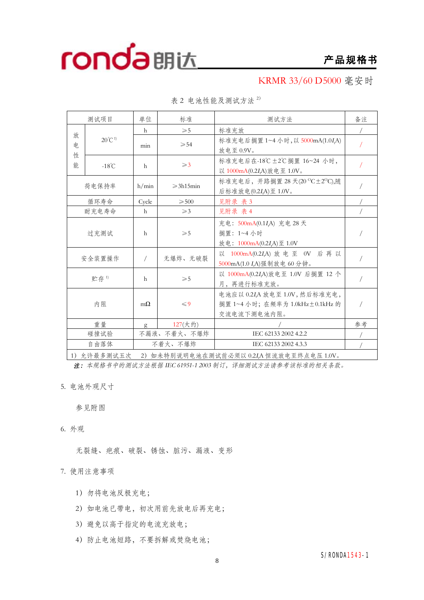# **产品规格书**

KRMR 33/60 D5000 毫安时

|        | 测试项目              | 单位        | 标准                  | 测试方法                                                                             | 备注 |
|--------|-------------------|-----------|---------------------|----------------------------------------------------------------------------------|----|
|        |                   | h         | $\geqslant 5$       | 标准充放                                                                             |    |
| 放<br>电 | $20^{\circ}C^{1}$ | min       | $\geqslant 54$      | 标准充电后搁置 1~4 小时, 以 5000mA(1.0I,A)<br>放电至 0.9V。                                    |    |
| 性<br>能 | $-18^{\circ}$ C   | h         | $\geqslant$ 3       | 标准充电后在-18℃±2℃搁置 16~24 小时,<br>以 1000mA(0.2IA)放电至 1.0V。                            |    |
|        | 荷电保持率             | h/min     | $\geqslant$ 3h15min | 标准充电后, 开路搁置 28 天(20 °C±2°C),随<br>后标准放电(0.2IA)至 1.0V。                             |    |
|        | 循环寿命              | Cycle     | $\geqslant$ 500     | 见附录 表 3                                                                          |    |
|        | 耐充电寿命             | h         | $\geqslant$ 3       | 见附录 表 4                                                                          |    |
|        | 过充测试              | h         | $\geqslant 5$       | 充电: 500mA(0.1I,A) 充电 28 天<br>搁置: 1~4 小时<br>放电: 1000mA(0.2I <sub>r</sub> A)至 1.0V |    |
|        | 无爆炸、无破裂<br>安全装置操作 |           |                     | 以 1000mA(0.2IA) 放电至 0V 后再以<br>5000mA(1.0 I <sub>r</sub> A)强制放电 60 分钟。            |    |
|        | 贮存1)              | h         | $\geqslant 5$       | 以 1000mA(0.2IA)放电至 1.0V 后搁置 12 个<br>月,再进行标准充放。                                   |    |
|        | 内阻                | $m\Omega$ | $\leqslant$ 9       | 电池应以 0.2IA 放电至 1.0V, 然后标准充电,<br>搁置 1~4 小时; 在频率为 1.0kHz±0.1kHz 的<br>交流电流下测电池内阻。   |    |
|        | 重量                | g         | $127($ 大约)          |                                                                                  | 参考 |
|        | 碰撞试验              |           | 不漏液、不着火、不爆炸         | IEC 62133 2002 4.2.2                                                             |    |
|        | 自由落体              |           | 不着火、不爆炸             | IEC 62133 2002 4.3.3                                                             |    |

表 2 电池性能及测试方法 <sup>2</sup>)

1)允许最多测试五次 2)如未特别说明电池在测试前必须以 0.2*<sup>I</sup>t*A 恒流放电至终点电压 1.0V。

*注:本规格书中的测试方法根据 IEC 61951-1 <sup>2003</sup> 制订,详细测试方法请参考该标准的相关条款。*

5. 电池外观尺寸

参见附图

6. 外观

无裂缝、疤痕、破裂、锈蚀、脏污、漏液、变形

7. 使用注意事项

- 1)勿将电池反极充电;
- 2) 如电池已带电, 初次用前先放电后再充电;
- 3)避免以高于指定的电流充放电;
- 4)防止电池短路,不要拆解或焚烧电池;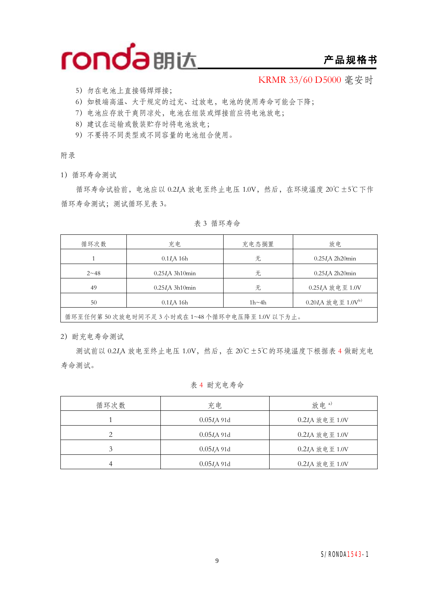

## **产品规格书**

KRMR 33/60 D5000 毫安时

- 5)勿在电池上直接锡焊焊接;
- 6)如极端高温、大于规定的过充、过放电,电池的使用寿命可能会下降;
- 7)电池应存放干爽阴凉处,电池在组装或焊接前应将电池放电;
- 8)建议在运输或散装贮存时将电池放电;
- 9)不要将不同类型或不同容量的电池组合使用。

附录

1)循环寿命测试

循环寿命试验前,电池应以 0.2*<sup>I</sup>t*A 放电至终止电压 1.0V,然后,在环境温度 20℃±5℃下作 循环寿命测试;测试循环见表 3。

| 循环次数     | 充电                      | 充电态搁置        | 放电                          |
|----------|-------------------------|--------------|-----------------------------|
|          | $0.1I$ A 16h            | 无            | $0.25I$ A 2h20 $min$        |
| $2 - 48$ | $0.25I\text{A}$ 3h10min | 无            | $0.25I$ A 2h20 $min$        |
| 49       | $0.25I\text{A}$ 3h10min | 无            | 0.25IA 放电至 1.0V             |
| 50       | $0.1I$ A 16h            | $1h \sim 4h$ | $0.20I_{r}A$ 放电至 $1.0V^{b}$ |
|          |                         |              |                             |

表 3 循环寿命

循环至任何第 50 次放电时间不足 3 小时或在 1~48 个循环中电压降至 1.0V 以下为止。

2)耐充电寿命测试

测试前以 0.2*<sup>I</sup>t*A 放电至终止电压 1.0V,然后,在 20℃±5℃的环境温度下根据表 4 做耐充电 寿命测试。

## 表 4 耐充电寿命

| 循环次数 | 充电            | 放电。)           |
|------|---------------|----------------|
|      | $0.05I$ A 91d | 0.2IA 放电至 1.0V |
|      | $0.05I$ A 91d | 0.2IA 放电至 1.0V |
| 3    | $0.05I$ A 91d | 0.2IA 放电至 1.0V |
| 4    | 0.05 I A 91d  | 0.2IA 放电至 1.0V |